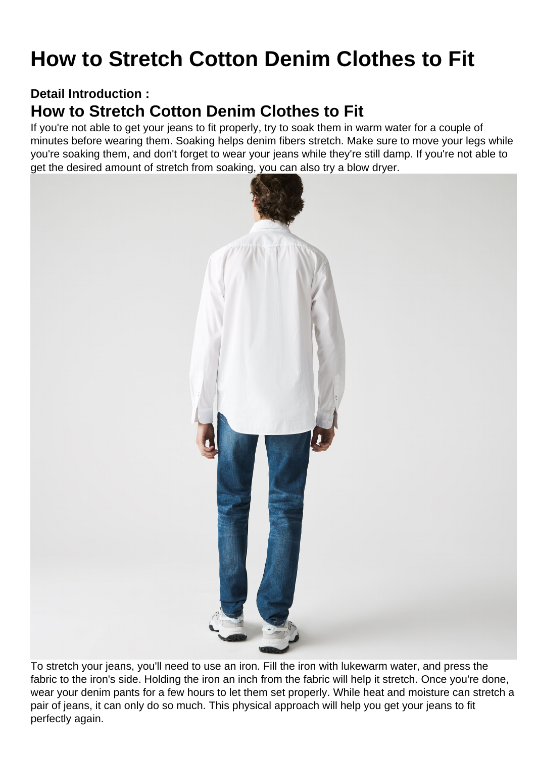## How to Stretch Cotton Denim Clothes to Fit

Detail Introduction :

## How to Stretch Cotton Denim Clothes to Fit

If you're not able to get your jeans to fit properly, try to soak them in warm water for a couple of minutes before wearing them. Soaking helps denim fibers stretch. Make sure to move your legs while you're soaking them, and don't forget to wear your jeans while they're still damp. If you're not able to get the desired amount of stretch from soaking, you can also try a blow dryer.

To stretch your jeans, you'll need to use an iron. Fill the iron with lukewarm water, and press the fabric to the iron's side. Holding the iron an inch from the fabric will help it stretch. Once you're done, wear your denim pants for a few hours to let them set properly. While heat and moisture can stretch a pair of jeans, it can only do so much. This physical approach will help you get your jeans to fit perfectly again.